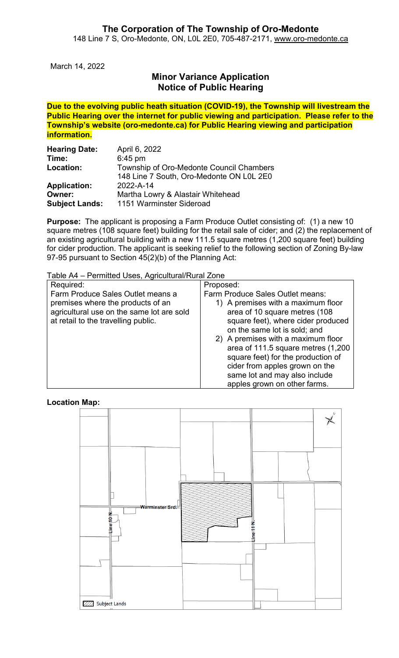March 14, 2022

## **Minor Variance Application Notice of Public Hearing**

**Due to the evolving public heath situation (COVID-19), the Township will livestream the Public Hearing over the internet for public viewing and participation. Please refer to the Township's website (oro-medonte.ca) for Public Hearing viewing and participation information.**

| <b>Hearing Date:</b>  | April 6, 2022                            |
|-----------------------|------------------------------------------|
| Time:                 | $6:45$ pm                                |
| Location:             | Township of Oro-Medonte Council Chambers |
|                       | 148 Line 7 South, Oro-Medonte ON L0L 2E0 |
| <b>Application:</b>   | 2022-A-14                                |
| Owner:                | Martha Lowry & Alastair Whitehead        |
| <b>Subject Lands:</b> | 1151 Warminster Sideroad                 |

**Purpose:** The applicant is proposing a Farm Produce Outlet consisting of: (1) a new 10 square metres (108 square feet) building for the retail sale of cider; and (2) the replacement of an existing agricultural building with a new 111.5 square metres (1,200 square feet) building for cider production. The applicant is seeking relief to the following section of Zoning By-law 97-95 pursuant to Section 45(2)(b) of the Planning Act:

Table A4 – Permitted Uses, Agricultural/Rural Zone

| Required:                                                                      | Proposed:                                                           |
|--------------------------------------------------------------------------------|---------------------------------------------------------------------|
| Farm Produce Sales Outlet means a                                              | Farm Produce Sales Outlet means:                                    |
| premises where the products of an<br>agricultural use on the same lot are sold | 1) A premises with a maximum floor<br>area of 10 square metres (108 |
| at retail to the travelling public.                                            | square feet), where cider produced                                  |
|                                                                                | on the same lot is sold; and                                        |
|                                                                                | 2) A premises with a maximum floor                                  |
|                                                                                | area of 111.5 square metres (1,200                                  |
|                                                                                | square feet) for the production of                                  |
|                                                                                | cider from apples grown on the                                      |
|                                                                                | same lot and may also include                                       |
|                                                                                | apples grown on other farms.                                        |

**Location Map:**

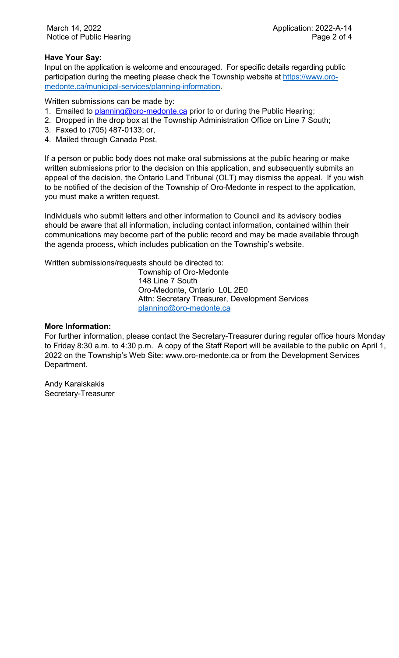### **Have Your Say:**

Input on the application is welcome and encouraged. For specific details regarding public participation during the meeting please check the Township website at [https://www.oro](https://www.oro-medonte.ca/municipal-services/planning-information)[medonte.ca/municipal-services/planning-information.](https://www.oro-medonte.ca/municipal-services/planning-information)

Written submissions can be made by:

- 1. Emailed to *planning@oro-medonte.ca* prior to or during the Public Hearing;
- 2. Dropped in the drop box at the Township Administration Office on Line 7 South;
- 3. Faxed to (705) 487-0133; or,
- 4. Mailed through Canada Post.

If a person or public body does not make oral submissions at the public hearing or make written submissions prior to the decision on this application, and subsequently submits an appeal of the decision, the Ontario Land Tribunal (OLT) may dismiss the appeal. If you wish to be notified of the decision of the Township of Oro-Medonte in respect to the application, you must make a written request.

Individuals who submit letters and other information to Council and its advisory bodies should be aware that all information, including contact information, contained within their communications may become part of the public record and may be made available through the agenda process, which includes publication on the Township's website.

Written submissions/requests should be directed to:

Township of Oro-Medonte 148 Line 7 South Oro-Medonte, Ontario L0L 2E0 Attn: Secretary Treasurer, Development Services [planning@oro-medonte.ca](mailto:planning@oro-medonte.ca)

#### **More Information:**

For further information, please contact the Secretary-Treasurer during regular office hours Monday to Friday 8:30 a.m. to 4:30 p.m. A copy of the Staff Report will be available to the public on April 1, 2022 on the Township's Web Site: [www.oro-medonte.ca](http://www.oro-medonte.ca/) or from the Development Services Department.

Andy Karaiskakis Secretary-Treasurer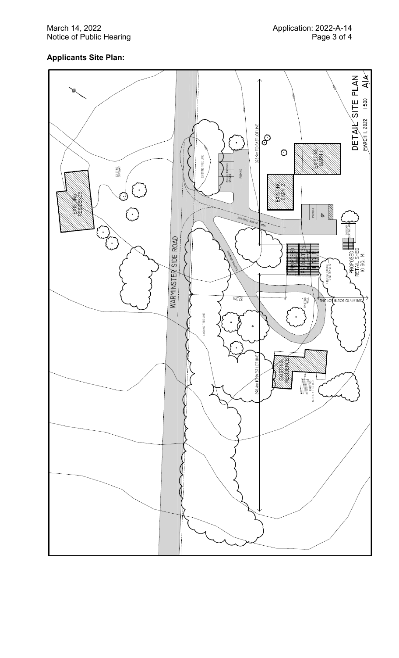#### March 1 Notice of Public Hearing Page

### **Applicants Site Plan :**